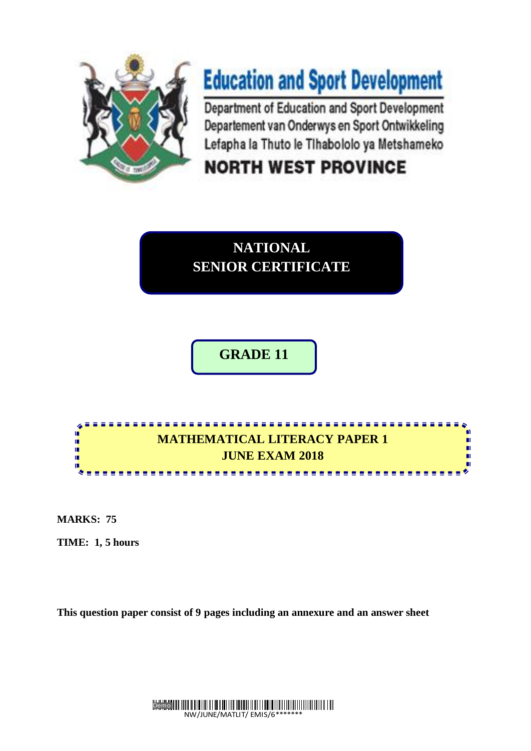

# **Education and Sport Development**

Department of Education and Sport Development Departement van Onderwys en Sport Ontwikkeling Lefapha la Thuto le Tihabololo ya Metshameko

# **NORTH WEST PROVINCE**

**NATIONAL SENIOR CERTIFICATE**

**GRADE 11**



**MARKS: 75**

**TIME: 1, 5 hours**

**This question paper consist of 9 pages including an annexure and an answer sheet**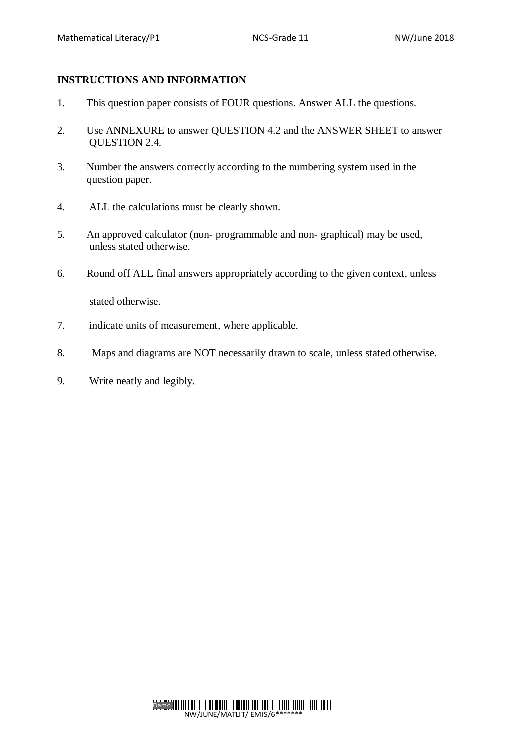# **INSTRUCTIONS AND INFORMATION**

- 1. This question paper consists of FOUR questions. Answer ALL the questions.
- 2. Use ANNEXURE to answer QUESTION 4.2 and the ANSWER SHEET to answer QUESTION 2.4.
- 3. Number the answers correctly according to the numbering system used in the question paper.
- 4. ALL the calculations must be clearly shown.
- 5. An approved calculator (non- programmable and non- graphical) may be used, unless stated otherwise.
- 6. Round off ALL final answers appropriately according to the given context, unless

stated otherwise.

- 7. indicate units of measurement, where applicable.
- 8. Maps and diagrams are NOT necessarily drawn to scale, unless stated otherwise.
- 9. Write neatly and legibly.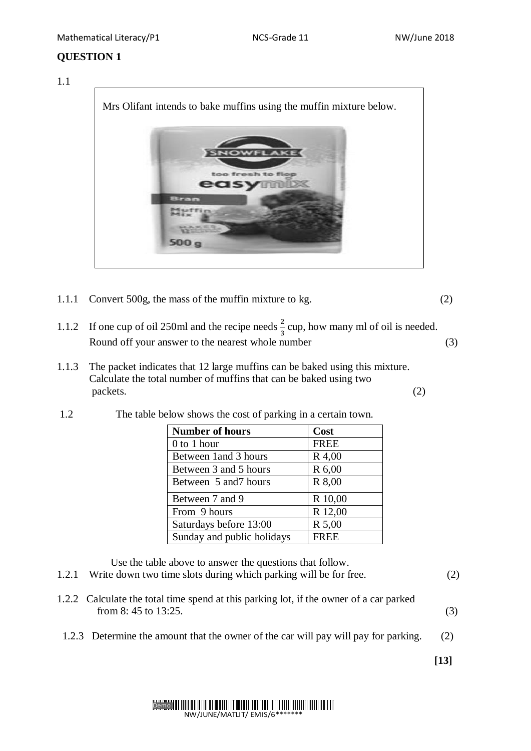# 1.1



- 1.1.1 Convert 500g, the mass of the muffin mixture to kg. (2)
- 1.1.2 If one cup of oil 250ml and the recipe needs  $\frac{2}{3}$  cup, how many ml of oil is needed. Round off your answer to the nearest whole number (3)
- 1.1.3 The packet indicates that 12 large muffins can be baked using this mixture. Calculate the total number of muffins that can be baked using two packets. (2)

| <b>Number of hours</b>     | Cost        |
|----------------------------|-------------|
| $0$ to 1 hour              | <b>FREE</b> |
| Between 1 and 3 hours      | R 4,00      |
| Between 3 and 5 hours      | R 6,00      |
| Between 5 and 7 hours      | R 8,00      |
| Between 7 and 9            | R 10,00     |
| From 9 hours               | R 12,00     |
| Saturdays before 13:00     | R 5,00      |
| Sunday and public holidays | <b>FREE</b> |

1.2 The table below shows the cost of parking in a certain town.

Use the table above to answer the questions that follow.

- 1.2.1 Write down two time slots during which parking will be for free. (2)
- 1.2.2 Calculate the total time spend at this parking lot, if the owner of a car parked from 8: 45 to 13:25.  $(3)$
- 1.2.3 Determine the amount that the owner of the car will pay will pay for parking. (2)

**[13]**

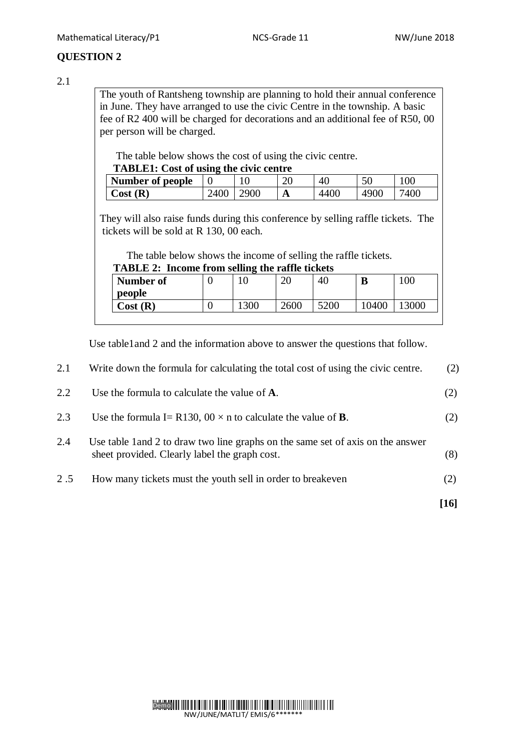## 2.1

The youth of Rantsheng township are planning to hold their annual conference in June. They have arranged to use the civic Centre in the township. A basic fee of R2 400 will be charged for decorations and an additional fee of R50, 00 per person will be charged.

The table below shows the cost of using the civic centre.

| <b>TABLE1:</b> Cost of using the civic centre |  |  |  |
|-----------------------------------------------|--|--|--|
|                                               |  |  |  |

| Number of people |     |     | ററ<br>∠∪ | 40           | 5٢<br>υv | 0 <sup>c</sup> |
|------------------|-----|-----|----------|--------------|----------|----------------|
| Cost(R)          | 40C | 900 | л        | $00\,$<br>44 |          | 7400           |

They will also raise funds during this conference by selling raffle tickets. The tickets will be sold at R 130, 00 each.

The table below shows the income of selling the raffle tickets.

| <b>TABLE 2: Income from selling the raffle tickets</b> |  |    |    |  |
|--------------------------------------------------------|--|----|----|--|
| Number of                                              |  | 20 | 40 |  |

| <b>Number of</b> | 10  | $\bigcap$<br>∠∪ | 40   | в    | 100  |
|------------------|-----|-----------------|------|------|------|
| people           |     |                 |      |      |      |
| Cost(R)          | 300 | 2600            | 5200 | 0400 | 3000 |
|                  |     |                 |      |      |      |

Use table1and 2 and the information above to answer the questions that follow.

| 2.1 | Write down the formula for calculating the total cost of using the civic centre.                                                 | (2)    |
|-----|----------------------------------------------------------------------------------------------------------------------------------|--------|
| 2.2 | Use the formula to calculate the value of $A$ .                                                                                  | (2)    |
| 2.3 | Use the formula I = R130, 00 $\times$ n to calculate the value of <b>B</b> .                                                     | (2)    |
| 2.4 | Use table 1 and 2 to draw two line graphs on the same set of axis on the answer<br>sheet provided. Clearly label the graph cost. | (8)    |
| 2.5 | How many tickets must the youth sell in order to breakeven                                                                       | (2)    |
|     |                                                                                                                                  | $[16]$ |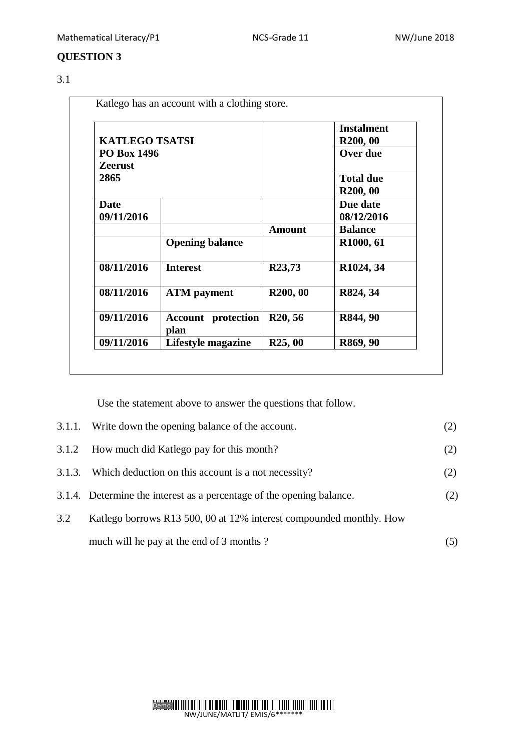# 3.1

| <b>KATLEGO TSATSI</b> |                                   |                       | <b>Instalment</b><br>R <sub>200</sub> , 00 |
|-----------------------|-----------------------------------|-----------------------|--------------------------------------------|
| <b>PO Box 1496</b>    |                                   |                       | Over due                                   |
| <b>Zeerust</b>        |                                   |                       |                                            |
| 2865                  |                                   |                       | <b>Total due</b>                           |
|                       |                                   |                       | R <sub>200</sub> , 00                      |
| Date                  |                                   |                       | Due date                                   |
| 09/11/2016            |                                   |                       | 08/12/2016                                 |
|                       |                                   | <b>Amount</b>         | <b>Balance</b>                             |
|                       | <b>Opening balance</b>            |                       | R <sub>1000</sub> , 61                     |
| 08/11/2016            | <b>Interest</b>                   | R23,73                | R <sub>1024</sub> , 34                     |
| 08/11/2016            | <b>ATM</b> payment                | R <sub>200</sub> , 00 | R824, 34                                   |
| 09/11/2016            | <b>Account</b> protection<br>plan | R <sub>20</sub> , 56  | R844, 90                                   |
| 09/11/2016            | Lifestyle magazine                | R <sub>25</sub> , 00  | R869, 90                                   |

Use the statement above to answer the questions that follow.

|        | 3.1.1. Write down the opening balance of the account.                 | (2) |
|--------|-----------------------------------------------------------------------|-----|
|        | 3.1.2 How much did Katlego pay for this month?                        | (2) |
| 3.1.3. | Which deduction on this account is a not necessity?                   | (2) |
|        | 3.1.4. Determine the interest as a percentage of the opening balance. | (2) |
| 3.2    | Katlego borrows R13 500, 00 at 12% interest compounded monthly. How   |     |
|        | much will he pay at the end of 3 months?                              | (C) |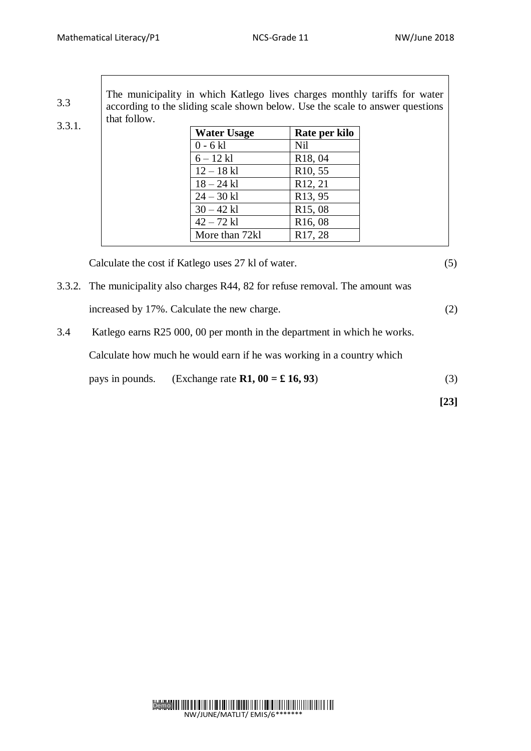$\overline{\phantom{a}}$ 

| 3.3<br>3.3.1. | that follow. | The municipality in which Katlego lives charges monthly tariffs for water<br>according to the sliding scale shown below. Use the scale to answer questions |                      |  |
|---------------|--------------|------------------------------------------------------------------------------------------------------------------------------------------------------------|----------------------|--|
|               |              | <b>Water Usage</b>                                                                                                                                         | Rate per kilo        |  |
|               |              | $0 - 6$ kl                                                                                                                                                 | Nil                  |  |
|               |              | $6 - 12$ kl                                                                                                                                                | R <sub>18</sub> , 04 |  |
|               |              | $12 - 18$ kl                                                                                                                                               | R <sub>10</sub> , 55 |  |
|               |              | $18 - 24$ kl                                                                                                                                               | R <sub>12</sub> , 21 |  |

 $24 - 30 \text{ k}$  R13, 95  $30 - 42$  kl R15, 08

 $\frac{42 - 72 \text{ k1}}{400}$  R16, 08<br>More than 72kl R17, 28

| Calculate the cost if Katlego uses 27 kl of water. |  |
|----------------------------------------------------|--|
|                                                    |  |

- 3.3.2. The municipality also charges R44, 82 for refuse removal. The amount was increased by 17%. Calculate the new charge. (2)
- 3.4 Katlego earns R25 000, 00 per month in the department in which he works.

More than 72kl

Calculate how much he would earn if he was working in a country which

pays in pounds. (Exchange rate  $\mathbb{R}1, 00 = \pounds 16, 93$ ) (3)

**[23]**

Demo NW/JUNE/MATLIT/ EMIS/6\*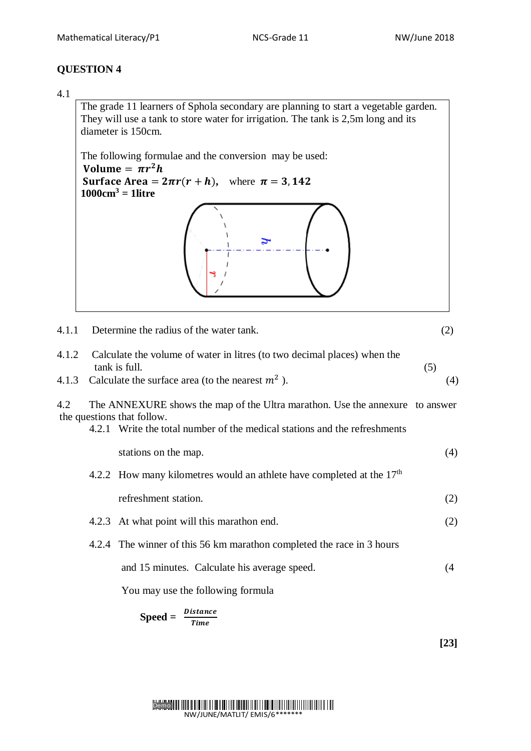The grade 11 learners of Sphola secondary are planning to start a vegetable garden. They will use a tank to store water for irrigation. The tank is 2,5m long and its diameter is 150cm.

The following formulae and the conversion may be used: Volume =  $\pi r^2 h$ **Surface Area =**  $2\pi r(r + h)$ **,** where  $\pi = 3,142$ **1000cm<sup>3</sup> = 1litre**

| 4.1.1          | Determine the radius of the water tank.                                                                                                                                                 |     |  |  |  |  |
|----------------|-----------------------------------------------------------------------------------------------------------------------------------------------------------------------------------------|-----|--|--|--|--|
| 4.1.2<br>4.1.3 | Calculate the volume of water in litres (to two decimal places) when the<br>tank is full.<br>Calculate the surface area (to the nearest $m^2$ ).                                        |     |  |  |  |  |
| 4.2            | The ANNEXURE shows the map of the Ultra marathon. Use the annexure to answer<br>the questions that follow.<br>4.2.1 Write the total number of the medical stations and the refreshments |     |  |  |  |  |
|                | stations on the map.                                                                                                                                                                    | (4) |  |  |  |  |
|                | 4.2.2 How many kilometres would an athlete have completed at the $17th$                                                                                                                 |     |  |  |  |  |
|                | refreshment station.                                                                                                                                                                    | (2) |  |  |  |  |
|                | 4.2.3 At what point will this marathon end.                                                                                                                                             | (2) |  |  |  |  |
|                | 4.2.4 The winner of this 56 km marathon completed the race in 3 hours                                                                                                                   |     |  |  |  |  |
|                | and 15 minutes. Calculate his average speed.                                                                                                                                            | (4) |  |  |  |  |
|                | You may use the following formula                                                                                                                                                       |     |  |  |  |  |
|                | <i>Distance</i><br>$Speed =$                                                                                                                                                            |     |  |  |  |  |

$$
\mathbf{d} = \frac{2 \times \text{times}}{Time}
$$

**[23]**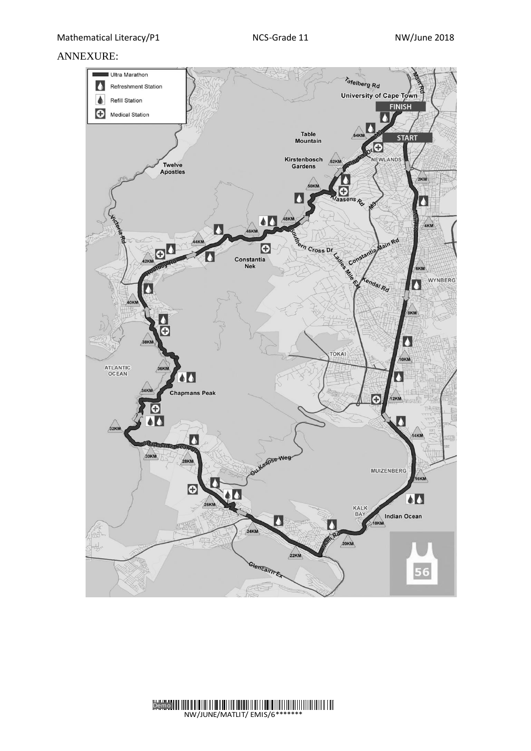#### ANNEXURE:



### Demo NW/JUNE/MATLIT/ EMIS/6\*